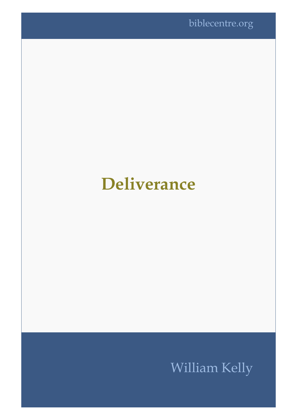## **Deliverance**

## William Kelly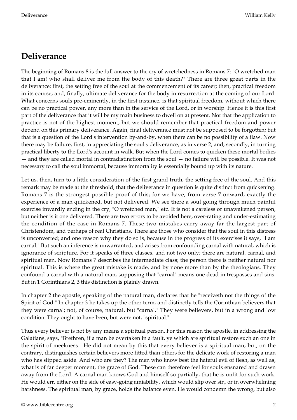## **Deliverance**

The beginning of Romans 8 is the full answer to the cry of wretchedness in Romans 7: "O wretched man that I am! who shall deliver me from the body of this death?" There are three great parts in the deliverance: first, the setting free of the soul at the commencement of its career; then, practical freedom in its course; and, finally, ultimate deliverance for the body in resurrection at the coming of our Lord. What concerns souls pre-eminently, in the first instance, is that spiritual freedom, without which there can be no practical power, any more than in the service of the Lord, or in worship. Hence it is this first part of the deliverance that it will be my main business to dwell on at present. Not that the application to practice is not of the highest moment; but we should remember that practical freedom and power depend on this primary deliverance. Again, final deliverance must not be supposed to be forgotten; but that is a question of the Lord's intervention by-and-by, when there can be no possibility of a flaw. Now there may be failure, first, in appreciating the soul's deliverance, as in verse 2; and, secondly, in turning practical liberty to the Lord's account in walk. But when the Lord comes to quicken these mortal bodies — and they are called mortal in contradistinction from the soul — no failure will be possible. It was not necessary to call the soul immortal, because immortality is essentially bound up with its nature.

Let us, then, turn to a little consideration of the first grand truth, the setting free of the soul. And this remark may be made at the threshold, that the deliverance in question is quite distinct from quickening. Romans 7 is the strongest possible proof of this; for we have, from verse 7 onward, exactly the experience of a man quickened, but not delivered. We see there a soul going through much painful exercise inwardly ending in the cry, "O wretched man," etc. It is not a careless or unawakened person, but neither is it one delivered. There are two errors to be avoided here, over-rating and under-estimating the condition of the case in Romans 7. These two mistakes carry away far the largest part of Christendom, and perhaps of real Christians. There are those who consider that the soul in this distress is unconverted; and one reason why they do so is, because in the progress of its exercises it says, "I am carnal." But such an inference is unwarranted, and arises from confounding carnal with natural, which is ignorance of scripture. For it speaks of three classes, and not two only; there are natural, carnal, and spiritual men. Now Romans 7 describes the intermediate class; the person there is neither natural nor spiritual. This is where the great mistake is made, and by none more than by the theologians. They confound a carnal with a natural man, supposing that "carnal" means one dead in trespasses and sins. But in 1 Corinthians 2, 3 this distinction is plainly drawn.

In chapter 2 the apostle, speaking of the natural man, declares that he "receiveth not the things of the Spirit of God." In chapter 3 he takes up the other term, and distinctly tells the Corinthian believers that they were carnal; not, of course, natural, but "carnal." They were believers, but in a wrong and low condition. They ought to have been, but were not, "spiritual."

Thus every believer is not by any means a spiritual person. For this reason the apostle, in addressing the Galatians, says, "Brethren, if a man be overtaken in a fault, ye which are spiritual restore such an one in the spirit of meekness." He did not mean by this that every believer is a spiritual man, but, on the contrary, distinguishes certain believers more fitted than others for the delicate work of restoring a man who has slipped aside. And who are they? The men who know best the hateful evil of flesh, as well as, what is of far deeper moment, the grace of God. These can therefore feel for souls ensnared and drawn away from the Lord. A carnal man knows God and himself so partially, that he is unfit for such work. He would err, either on the side of easy-going amiability, which would slip over sin, or in overwhelming harshness. The spiritual man, by grace, holds the balance even. He would condemn the wrong, but also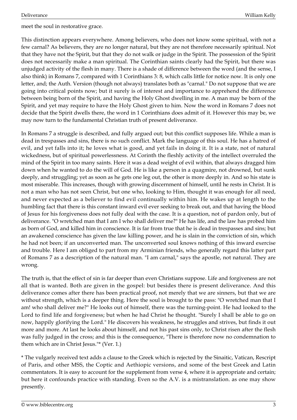meet the soul in restorative grace.

This distinction appears everywhere. Among believers, who does not know some spiritual, with not a few carnal? As believers, they are no longer natural, but they are not therefore necessarily spiritual. Not that they have not the Spirit, but that they do not walk or judge in the Spirit. The possession of the Spirit does not necessarily make a man spiritual. The Corinthian saints clearly had the Spirit, but there was unjudged activity of the flesh in many. There is a shade of difference between the word (and the sense, I also think) in Romans 7, compared with 1 Corinthians 3: 8, which calls little for notice now. It is only one letter, and; the Auth. Version (though not always) translates both as "carnal." Do not suppose that we are going into critical points now; but it surely is of interest and importance to apprehend the difference between being born of the Spirit, and having the Holy Ghost dwelling in me. A man may be born of the Spirit, and yet may require to have the Holy Ghost given to him. Now the word in Romans 7 does not decide that the Spirit dwells there, the word in 1 Corinthians does admit of it. However this may be, we may now turn to the fundamental Christian truth of present deliverance.

In Romans 7 a struggle is described, and fully argued out; but this conflict supposes life. While a man is dead in trespasses and sins, there is no such conflict. Mark the language of this soul. He has a hatred of evil, and yet falls into it; he loves what is good, and yet fails in doing it. It is a state, not of natural wickedness, but of spiritual powerlessness. At Corinth the fleshly activity of the intellect overruled the mind of the Spirit in too many saints. Here it was a dead weight of evil within, that always dragged him down when he wanted to do the will of God. He is like a person in a quagmire, not drowned, but sunk deeply, and struggling; yet as soon as he gets one leg out, the other is more deeply in. And so his state is most miserable. This increases, though with growing discernment of himself, until he rests in Christ. It is not a man who has not seen Christ, but one who, looking to Him, thought it was enough for all need, and never expected as a believer to find evil continually within him. He wakes up at length to the humbling fact that there is this constant inward evil ever seeking to break out, and that having the blood of Jesus for his forgiveness does not fully deal with the case. It is a question, not of pardon only, but of deliverance. "O wretched man that I am I who shall deliver me?" He has life, and the law has probed him as born of God, and killed him in conscience. It is far from true that he is dead in trespasses and sins; but an awakened conscience has given the law killing power, and he is slain in the conviction of sin, which he had not been; if an unconverted man. The unconverted soul knows nothing of this inward exercise and trouble. Here I am obliged to part from my Arminian friends, who generally regard this latter part of Romans 7 as a description of the natural man. "I am carnal," says the apostle, not natural. They are wrong.

The truth is, that the effect of sin is far deeper than even Christians suppose. Life and forgiveness are not all that is wanted. Both are given in the gospel: but besides there is present deliverance. And this deliverance comes after there has been practical proof, not merely that we are sinners, but that we are without strength, which is a deeper thing. Here the soul is brought to the pass: "O wretched man that I am! who shall deliver me?" He looks out of himself, there was the turning-point. He had looked to the Lord to find life and forgiveness; but when he had Christ he thought. "Surely I shall be able to go on now, happily glorifying the Lord." He discovers his weakness, he struggles and strives, but finds it out more and more. At last he looks about himself, and not his past sins only, to Christ risen after the flesh was fully judged in the cross; and this is the consequence, "There is therefore now no condemnation to them which are in Christ Jesus."\* (Ver. 1.)

\* The vulgarly received text adds a clause to the Greek which is rejected by the Sinaitic, Vatican, Rescript of Paris, and other MSS, the Coptic and Aethiopic versions, and some of the best Greek and Latin commentators. It is easy to account for the supplement from verse 4, where it is appropriate and certain; but here it confounds practice with standing. Even so the A.V. is a mistranslation. as one may show presently.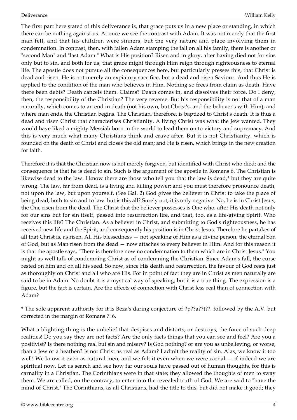The first part here stated of this deliverance is, that grace puts us in a new place or standing, in which there can be nothing against us. At once we see the contrast with Adam. It was not merely that the first man fell, and that his children were sinners, but the very nature and place involving them in condemnation. In contrast, then, with fallen Adam stamping the fall on all his family, there is another or "second Man" and "last Adam." What is His position? Risen and in glory, after having died not for sins only but to sin, and both for us, that grace might through Him reign through righteousness to eternal life. The apostle does not pursue all the consequences here, but particularly presses this, that Christ is dead and risen. He is not merely an expiatory sacrifice, but a dead and risen Saviour. And thus He is applied to the condition of the man who believes in Him. Nothing so frees from claim as death. Have there been debts? Death cancels them. Claims? Death comes in, and dissolves their force. Do I deny, then, the responsibility of the Christian? The very reverse. But his responsibility is not that of a man naturally, which comes to an end in death (not his own, but Christ's, and the believer's with Him); and where man ends, the Christian begins. The Christian, therefore, is baptized to Christ's death. It is thus a dead and risen Christ that characterises Christianity. A living Christ was what the Jew wanted. They would have liked a mighty Messiah born in the world to lead them on to victory and supremacy. And this is very much what many Christians think and crave after. But it is not Christianity, which is founded on the death of Christ and closes the old man; and He is risen, which brings in the new creation for faith.

Therefore it is that the Christian now is not merely forgiven, but identified with Christ who died; and the consequence is that he is dead to sin. Such is the argument of the apostle in Romans 6. The Christian is likewise dead to the law. I know there are those who tell you that the law is dead,\* but they are quite wrong. The law, far from dead, is a living and killing power; and you must therefore pronounce death, not upon the law, but upon yourself. (See Gal. 2) God gives the believer in Christ to take the place of being dead, both to sin and to law: but is this all? Surely not; it is only negative. No, he is in Christ Jesus, the One risen from the dead. The Christ that the believer possesses is One who, after His death not only for our sins but for sin itself, passed into resurrection life, and that, too, as a life-giving Spirit. Who receives this life? The Christian. As a believer in Christ, and submitting to God's righteousness, he has received new life and the Spirit, and consequently his position is in Christ Jesus. Therefore he partakes of all that Christ is, as risen. All His blessedness — not speaking of Him as a divine person, the eternal Son of God, but as Man risen from the dead — now attaches to every believer in Him. And for this reason it is that the apostle says, "There is therefore now no condemnation to them which are in Christ Jesus." You might as well talk of condemning Christ as of condemning the Christian. Since Adam's fall, the curse rested on him and on all his seed. So now, since His death and resurrection, the favour of God rests just as thoroughly on Christ and all who are His. For in point of fact they are in Christ as men naturally are said to be in Adam. No doubt it is a mystical way of speaking, but it is a true thing. The expression is a figure, but the fact is certain. Are the effects of connection with Christ less real than of connection with Adam?

\* The sole apparent authority for it is Beza's daring conjecture of ?p??a??t??, followed by the A.V. but corrected in the margin of Romans 7: 6.

What a blighting thing is the unbelief that despises and distorts, or destroys, the force of such deep realities! Do you say they are not facts? Are the only facts things that you can see and feel? Are you a positivist? Is there nothing real but sin and misery? Is God nothing? or are you as unbelieving, or worse, than a Jew or a heathen? Is not Christ as real as Adam? I admit the reality of sin. Alas, we know it too well! We know it even as natural men, and we felt it even when we were carnal — if indeed we are spiritual now. Let us search and see how far our souls have passed out of human thoughts, for this is carnality in a Christian. The Corinthians were in that state; they allowed the thoughts of men to sway them. We are called, on the contrary, to enter into the revealed truth of God. We are said to "have the mind of Christ." The Corinthians, as all Christians, had the title to this, but did not make it good; they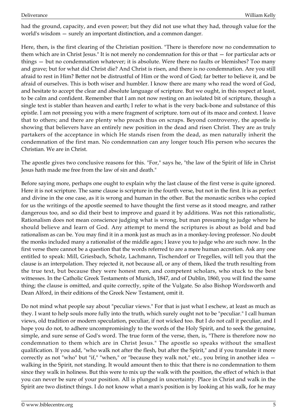had the ground, capacity, and even power; but they did not use what they had, through value for the world's wisdom — surely an important distinction, and a common danger.

Here, then, is the first clearing of the Christian position. "There is therefore now no condemnation to them which are in Christ Jesus." It is not merely no condemnation for this or that — for particular acts or things — but no condemnation whatever; it is absolute. Were there no faults or blemishes? Too many and grave; but for what did Christ die? And Christ is risen, and there is no condemnation. Are you still afraid to rest in Him? Better not be distrustful of Him or the word of God; far better to believe it, and be afraid of ourselves. This is both wiser and humbler. I know there are many who read the word of God, and hesitate to accept the clear and absolute language of scripture. But we ought, in this respect at least, to be calm and confident. Remember that I am not now resting on an isolated bit of scripture, though a single text is stabler than heaven and earth; I refer to what is the very back-bone and substance of this epistle. I am not pressing you with a mere fragment of scripture. torn out of its mace and context. I leave that to others; and there are plenty who preach thus on scraps. Beyond controversy, the apostle is showing that believers have an entirely new position in the dead and risen Christ. They are as truly partakers of the acceptance in which He stands risen from the dead, as men naturally inherit the condemnation of the first man. No condemnation can any longer touch His person who secures the Christian. We are in Christ.

The apostle gives two conclusive reasons for this. "For," says he, "the law of the Spirit of life in Christ Jesus hath made me free from the law of sin and death."

Before saying more, perhaps one ought to explain why the last clause of the first verse is quite ignored. Here it is not scripture. The same clause is scripture in the fourth verse, but not in the first. It is as perfect and divine in the one case, as it is wrong and human in the other. But the monastic scribes who copied for us the writings of the apostle seemed to have thought the first verse as it stood meagre, and rather dangerous too, and so did their best to improve and guard it by additions. Was not this rationalistic, Rationalism does not mean conscience judging what is wrong, but man presuming to judge where he should believe and learn of God. Any attempt to mend the scriptures is about as bold and bad rationalism as can be. You may find it in a monk just as much as in a monkey-loving professor. No doubt the monks included many a rationalist of the middle ages; I leave you to judge who are such now. In the first verse there cannot be a question that the words referred to are a mere human accretion. Ask any one entitled to speak: Mill, Griesbach, Scholz, Lachmann, Tischendorf or Tregelles, will tell you that the clause is an interpolation. They rejected it, not because all, or any of them, liked the truth resulting from the true text, but because they were honest men, and competent scholars, who stuck to the best witnesses. In the Catholic Greek Testaments of Munich, 1847, and of Dublin, 1860, you will find the same thing; the clause is omitted, and quite correctly, spite of the Vulgate. So also Bishop Wordsworth and Dean Alford, in their editions of the Greek New Testament, omit it.

Do not mind what people say about "peculiar views." For that is just what I eschew, at least as much as they. I want to help souls more fully into the truth, which surely ought not to be "peculiar." I call human views, old tradition or modern speculation, peculiar, if not wicked too. But I do not call it peculiar, and I hope you do not, to adhere uncompromisingly to the words of the Holy Spirit, and to seek the genuine, simple, and sure sense of God's word. The true form of the verse, then, is, "There is therefore now no condemnation to them which are in Christ Jesus." The apostle so speaks without the smallest qualification. If you add, "who walk not after the flesh, but after the Spirit," and if you translate it more correctly as not "who" but "if," "when," or "because they walk not," etc., you bring in another idea walking in the Spirit, not standing. It would amount then to this: that there is no condemnation to them since they walk in holiness. But this were to mix up the walk with the position, the effect of which is that you can never be sure of your position. All is plunged in uncertainty. Place in Christ and walk in the Spirit are two distinct things. I do not know what a man's position is by looking at his walk, for he may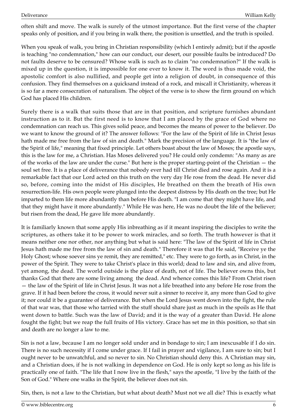often shift and move. The walk is surely of the utmost importance. But the first verse of the chapter speaks only of position, and if you bring in walk there, the position is unsettled, and the truth is spoiled.

When you speak of walk, you bring in Christian responsibility (which I entirely admit); but if the apostle is teaching "no condemnation," how can our conduct, our desert, our possible faults be introduced? Do not faults deserve to be censured? Whose walk is such as to claim "no condemnation?" If the walk is mixed up in the question, it is impossible for one ever to know it. The word is thus made void, the apostolic comfort is also nullified, and people get into a religion of doubt, in consequence of this confusion. They find themselves on a quicksand instead of a rock, and miscall it Christianity, whereas it is so far a mere consecration of naturalism. The object of the verse is to show the firm ground on which God has placed His children.

Surely there is a walk that suits those that are in that position, and scripture furnishes abundant instruction as to it. But the first need is to know that I am placed by the grace of God where no condemnation can reach us. This gives solid peace, and becomes the means of power to the believer. Do we want to know the ground of it? The answer follows: "For the law of the Spirit of life in Christ Jesus hath made me free from the law of sin and death." Mark the precision of the language. It is "the law of the Spirit of life," meaning that fixed principle. Let others boast about the law of Moses; the apostle says, this is the law for me, a Christian. Has Moses delivered you? He could only condemn: "As many as are of the works of the law are under the curse." But here is the proper starting-point of the Christian — the soul set free. It is a place of deliverance that nobody ever had till Christ died and rose again. And it is a remarkable fact that our Lord acted on this truth on the very day He rose from the dead. He never did so, before, coming into the midst of His disciples, He breathed on them the breath of His own resurrection-life. His own people were plunged into the deepest distress by His death on the tree; but He imparted to them life more abundantly than before His death. "I am come that they might have life, and that they might have it more abundantly." While He was here, He was no doubt the life of the believer; but risen from the dead, He gave life more abundantly.

It is familiarly known that some apply His inbreathing as if it meant inspiring the disciples to write the scriptures, as others take it to be power to work miracles, and so forth. The truth however is that it means neither one nor other, nor anything but what is said here: "The law of the Spirit of life in Christ Jesus hath made me free from the law of sin and death." Therefore it was that He said, "Receive ye the Holy Ghost; whose soever sins ye remit, they are remitted," etc. They were to go forth, as in Christ, in the power of the Spirit. They were to take Christ's place in this world; dead to law and sin, and alive from, yet among, the dead. The world outside is the place of death, not of life. The believer owns this, but thanks God that there are some living among the dead. And whence comes this life? From Christ risen — the law of the Spirit of life in Christ Jesus. It was not a life breathed into any before He rose from the grave. If it had been before the cross, it would never suit a sinner to receive it, any more than God to give it; nor could it be a guarantee of deliverance. But when the Lord Jesus went down into the fight, the rule of that war was, that those who tarried with the stuff should share just as much in the spoils as He that went down to battle. Such was the law of David; and it is the way of a greater than David. He alone fought the fight; but we reap the full fruits of His victory. Grace has set me in this position, so that sin and death are no longer a law to me.

Sin is not a law, because I am no longer sold under and in bondage to sin; I am inexcusable if I do sin. There is no such necessity if I come under grace. If I fail in prayer and vigilance, I am sure to sin; but I ought never to be unwatchful, and so never to sin. No Christian should deny this. A Christian may sin, and a Christian does, if he is not walking in dependence on God. He is only kept so long as his life is practically one of faith. "The life that I now live in the flesh," says the apostle, "I live by the faith of the Son of God." Where one walks in the Spirit, the believer does not sin.

Sin, then, is not a law to the Christian, but what about death? Must not we all die? This is exactly what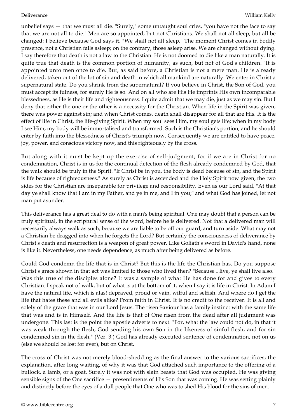unbelief says — that we must all die. "Surely," some untaught soul cries, "you have not the face to say that we are not all to die." Men are so appointed, but not Christians. We shall not all sleep, but all be changed: I believe because God says it. "We shall not all sleep." The moment Christ comes in bodily presence, not a Christian falls asleep; on the contrary, those asleep arise. We are changed without dying. I say therefore that death is not a law to the Christian. He is not doomed to die like a man naturally. It is quite true that death is the common portion of humanity, as such, but not of God's children. "It is appointed unto men once to die. But, as said before, a Christian is not a mere man. He is already delivered, taken out of the lot of sin and death in which all mankind are naturally. We enter in Christ a supernatural state. Do you shrink from the supernatural? If you believe in Christ, the Son of God, you must accept its fulness, for surely He is so. And on all who are His He imprints His own incomparable blessedness, as He is their life and righteousness. I quite admit that we may die, just as we may sin. But I deny that either the one or the other is a necessity for the Christian. When life in the Spirit was given, there was power against sin; and when Christ comes, death shall disappear for all that are His. It is the effect of life in Christ, the life-giving Spirit. When my soul sees Him, my soul gets life; when in my body I see Him, my body will be immortalised and transformed. Such is the Christian's portion, and he should enter by faith into the blessedness of Christ's triumph now. Consequently we are entitled to have peace, joy, power, and conscious victory now, and this righteously by the cross.

But along with it must be kept up the exercise of self-judgment; for if we are in Christ for no condemnation, Christ is in us for the continual detection of the flesh already condemned by God, that the walk should be truly in the Spirit. "If Christ be in you, the body is dead because of sin, and the Spirit is life because of righteousness." As surely as Christ is ascended and the Holy Spirit now given, the two sides for the Christian are inseparable for privilege and responsibility. Even as our Lord said, "At that day ye shall know that I am in my Father, and ye in me, and I in you;" and what God has joined, let not man put asunder.

This deliverance has a great deal to do with a man's being spiritual. One may doubt that a person can be truly spiritual, in the scriptural sense of the word, before he is delivered. Not that a delivered man will necessarily always walk as such, because we are liable to be off our guard, and turn aside. What may not a Christian be dragged into when he forgets the Lord? But certainly the consciousness of deliverance by Christ's death and resurrection is a weapon of great power. Like Goliath's sword in David's hand, none is like it. Nevertheless, one needs dependence, as much after being delivered as before.

Could God condemn the life that is in Christ? But this is the life the Christian has. Do you suppose Christ's grace shown in that act was limited to those who lived then? "Because I live, ye shall live also." Was this true of the disciples alone? It was a sample of what He has done for and gives to every Christian. I speak not of walk, but of what is at the bottom of it, when I say it is life in Christ. In Adam I have the natural life, which is alas! depraved, proud or vain, wilful and selfish. And where do I get the life that hates these and all evils alike? From faith in Christ. It is no credit to the receiver. It is all and solely of the grace that was in our Lord Jesus. The risen Saviour has a family instinct with the same life that was and is in Himself. And the life is that of One risen from the dead after all judgment was undergone. This last is the point the apostle adverts to next. "For, what the law could not do, in that it was weak through the flesh, God sending his own Son in the likeness of sinful flesh, and for sin condemned sin in the flesh." (Ver. 3.) God has already executed sentence of condemnation, not on us (else we should be lost for ever), but on Christ.

The cross of Christ was not merely blood-shedding as the final answer to the various sacrifices; the explanation, after long waiting, of why it was that God attached such importance to the offering of a bullock, a lamb, or a goat. Surely it was not with slain beasts that God was occupied. He was giving sensible signs of the One sacrifice — presentiments of His Son that was coming. He was setting plainly and distinctly before the eyes of a dull people that One who was to shed His blood for the sins of men.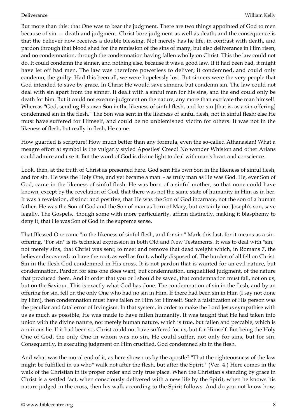But more than this: that One was to bear the judgment. There are two things appointed of God to men because of sin — death and judgment. Christ bore judgment as well as death; and the consequence is that the believer now receives a double blessing. Not merely has he life, in contrast with death, and pardon through that blood shed for the remission of the sins of many, but also deliverance in Him risen, and no condemnation, through the condemnation having fallen wholly on Christ. This the law could not do. It could condemn the sinner, and nothing else, because it was a good law. If it had been bad, it might have let off bad men. The law was therefore powerless to deliver; it condemned, and could only condemn, the guilty. Had this been all, we were hopelessly lost. But sinners were the very people that God intended to save by grace. In Christ He would save sinners, but condemn sin. The law could not deal with sin apart from the sinner. It dealt with a sinful man for his sins, and the end could only be death for him. But it could not execute judgment on the nature, any more than extricate the man himself. Whereas "God, sending His own Son in the likeness of sinful flesh, and for sin [that is, as a sin-offering] condemned sin in the flesh." The Son was sent in the likeness of sinful flesh, not in sinful flesh; else He must have suffered for Himself, and could be no unblemished victim for others. It was not in the likeness of flesh, but really in flesh, He came.

How guarded is scripture! How much better than any formula, even the so-called Athanasian! What a meagre effort at symbol is the vulgarly styled Apostles' Creed! No wonder Whiston and other Arians could admire and use it. But the word of God is divine light to deal with man's heart and conscience.

Look, then, at the truth of Christ as presented here. God sent His own Son in the likeness of sinful flesh, and for sin. He was the Holy One, and yet became a man - as truly man as He was God. He, ever Son of God, came in the likeness of sinful flesh. He was born of a sinful mother, so that none could have known, except by the revelation of God, that there was not the same state of humanity in Him as in her. It was a revelation, distinct and positive, that He was the Son of God incarnate, not the son of a human father. He was the Son of God and the Son of man as born of Mary, but certainly not Joseph's son, save legally. The Gospels,. though some with more particularity, affirm distinctly, making it blasphemy to deny it, that He was Son of God in the supreme sense.

That Blessed One came "in the likeness of sinful flesh, and for sin." Mark this last, for it means as a sinoffering. "For sin" is its technical expression in both Old and New Testaments. It was to deal with "sin," not merely sins, that Christ was sent; to meet and remove that dead weight which, in Romans 7, the believer discovered; to have the root, as well as fruit, wholly disposed of. The burden of all fell on Christ. Sin in the flesh God condemned in His cross. It is not pardon that is wanted for an evil nature, but condemnation. Pardon for sins one does want, but condemnation, unqualified judgment, of the nature that produced them. And in order that you or I should be saved, that condemnation must fall, not on us, but on the Saviour. This is exactly what God has done. The condemnation of sin in the flesh, and by an offering for sin, fell on the only One who had no sin in Him. If there had been sin in Him (I say not done by Him), then condemnation must have fallen on Him for Himself. Such a falsification of His person was the peculiar and fatal error of Irvingism. In that system, in order to make the Lord Jesus sympathise with us as much as possible, He was made to have fallen humanity. It was taught that He had taken into union with the divine nature, not merely human nature, which is true, but fallen and peccable, which is a ruinous lie. If it had been so, Christ could not have suffered for us, but for Himself. But being the Holy One of God, the only One in whom was no sin, He could suffer, not only for sins, but for sin. Consequently, in executing judgment on Him crucified, God condemned sin in the flesh.

And what was the moral end of it, as here shown us by the apostle? "That the righteousness of the law might be fulfilled in us who\* walk not after the flesh, but after the Spirit." (Ver. 4.) Here comes in the walk of the Christian in its proper order and only true place. When the Christian's standing by grace in Christ is a settled fact, when consciously delivered with a new life by the Spirit, when he knows his nature judged in the cross, then his walk according to the Spirit follows. And do you not know how,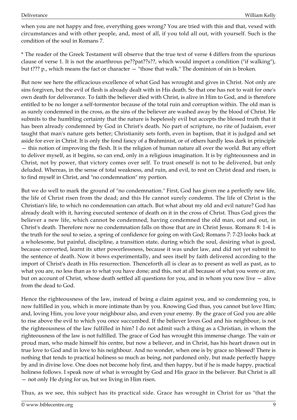when you are not happy and free, everything goes wrong? You are tried with this and that, vexed with circumstances and with other people, and, most of all, if you told all out, with yourself. Such is the condition of the soul in Romans 7.

\* The reader of the Greek Testament will observe that the true text of verse 4 differs from the spurious clause of verse 1. It is not the anarthrous pe??pat??s??, which would import a condition ("if walking"), but t??? p., which means the fact or character — "those that walk." The dominion of sin is broken.

But now see here the efficacious excellence of what God has wrought and gives in Christ. Not only are sins forgiven, but the evil of flesh is already dealt with in His death. So that one has not to wait for one's own death for deliverance. To faith the believer died with Christ, is alive in Him to God, and is therefore entitled to be no longer a self-tormentor because of the total ruin and corruption within. The old man is as surely condemned in the cross, as the sins of the believer are washed away by the blood of Christ. He submits to the humbling certainty that the nature is hopelessly evil but accepts the blessed truth that it has been already condemned by God in Christ's death. No part of scripture, no rite of Judaism, ever taught that man's nature gets better; Christianity sets forth, even in baptism, that it is judged and set aside for ever in Christ. It is only the fond fancy of a Brahminist, or of others hardly less dark in principle — this notion of improving the flesh. It is the religion of human nature all over the world. But any effort to deliver myself, as it begins, so can end, only in a religious imagination. It is by righteousness and in Christ, not by power, that victory comes over self. To trust oneself is not to be delivered, but only deluded. Whereas, in the sense of total weakness, and ruin, and evil, to rest on Christ dead and risen, is to find myself in Christ, and "no condemnation" my portion.

But we do well to mark the ground of "no condemnation." First, God has given me a perfectly new life, the life of Christ risen from the dead; and this He cannot surely condemn. The life of Christ is the Christian's life, to which no condemnation can attach. But what about my old and evil nature? God has already dealt with it, having executed sentence of death on it in the cross of Christ. Thus God gives the believer a new life, which cannot be condemned, having condemned the old man, out and out, in Christ's death. Therefore now no condemnation falls on those that are in Christ Jesus. Romans 8: 1-4 is the truth for the soul to seize, a spring of confidence for going on with God; Romans 7: 7-23 looks back at a wholesome, but painful, discipline, a transition state, during which the soul, desiring what is good, because converted, learnt its utter powerlessness, because it was under law, and did not yet submit to the sentence of death. Now it bows experimentally, and sees itself by faith delivered according to the import of Christ's death in His resurrection. Thenceforth all is clear as to present as well as past, as to what you are, no less than as to what you have done; and this, not at all because of what you were or are, but on account of Christ, whose death settled all questions for you, and in whom you now live — alive from the dead to God.

Hence the righteousness of the law, instead of being a claim against you, and so condemning you, is now fulfilled in you, which is more intimate than by you. Knowing God thus, you cannot but love Him; and, loving Him, you love your neighbour also, and even your enemy. By the grace of God you are able to rise above the evil to which you once succumbed. If the believer loves God and his neighbour, is not the righteousness of the law fulfilled in him? I do not admit such a thing as a Christian, in whom the righteousness of the law is not fulfilled. The grace of God has wrought this immense change. The vain or proud man, who made himself his centre, but now a believer, and in Christ, has his heart drawn out in true love to God and in love to his neighbour. And no wonder, when one is by grace so blessed! There is nothing that tends to practical holiness so much as being, not pardoned only, but made perfectly happy by and in divine love. One does not become holy first, and then happy, but if he is made happy, practical holiness follows. I speak now of what is wrought by God and His grace in the believer. But Christ is all — not only He dying for us, but we living in Him risen.

Thus, as we see, this subject has its practical side. Grace has wrought in Christ for us "that the